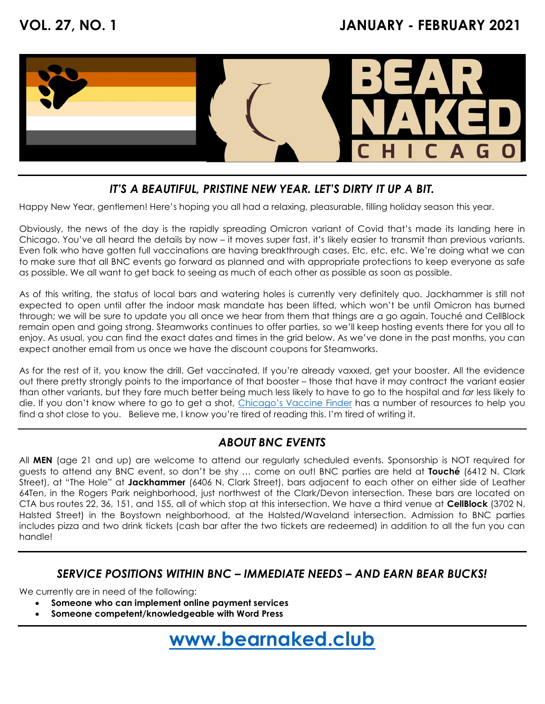

### IT'S A BEAUTIFUL, PRISTINE NEW YEAR. LET'S DIRTY IT UP A BIT.

Happy New Year, gentlemen! Here's hoping you all had a relaxing, pleasurable, filling holiday season this year.

Obviously, the news of the day is the rapidly spreading Omicron variant of Covid that's made its landing here in Chicago. You've all heard the details by now – it moves super fast, it's likely easier to transmit than previous variants. Even folk who have gotten full vaccinations are having breakthrough cases. Etc, etc, etc. We're doing what we can to make sure that all BNC events go forward as planned and with appropriate protections to keep everyone as safe as possible. We all want to get back to seeing as much of each other as possible as soon as possible.

As of this writing, the status of local bars and watering holes is currently very definitely quo. Jackhammer is still not expected to open until after the indoor mask mandate has been lifted, which won't be until Omicron has burned through; we will be sure to update you all once we hear from them that things are a go again. Touché and CellBlock remain open and going strong. Steamworks continues to offer parties, so we'll keep hosting events there for you all to enjoy. As usual, you can find the exact dates and times in the grid below. As we've done in the past months, you can expect another email from us once we have the discount coupons for Steamworks.

As for the rest of it, you know the drill. Get vaccinated. If you're already vaxxed, get your booster. All the evidence out there pretty strongly points to the importance of that booster – those that have it may contract the variant easier than other variants, but they fare much better being much less likely to have to go to the hospital and far less likely to die. If you don't know where to go to get a shot, Chicago's Vaccine Finder has a number of resources to help you find a shot close to you. Believe me, I know you're tired of reading this. I'm tired of writing it.

#### ABOUT BNC EVENTS

All MEN (age 21 and up) are welcome to attend our regularly scheduled events. Sponsorship is NOT required for guests to attend any BNC event, so don't be shy ... come on out! BNC parties are held at Touché (6412 N. Clark Street), at "The Hole" at Jackhammer (6406 N. Clark Street), bars adjacent to each other on either side of Leather 64Ten, in the Rogers Park neighborhood, just northwest of the Clark/Devon intersection. These bars are located on CTA bus routes 22, 36, 151, and 155, all of which stop at this intersection. We have a third venue at **CellBlock** (3702 N. Halsted Street) in the Boystown neighborhood, at the Halsted/Waveland intersection. Admission to BNC parties includes pizza and two drink tickets (cash bar after the two tickets are redeemed) in addition to all the fun you can handle!

#### SERVICE POSITIONS WITHIN BNC – IMMEDIATE NEEDS – AND EARN BEAR BUCKS!

We currently are in need of the following:

- Someone who can implement online payment services
- Someone competent/knowledgeable with Word Press

www.bearnaked.club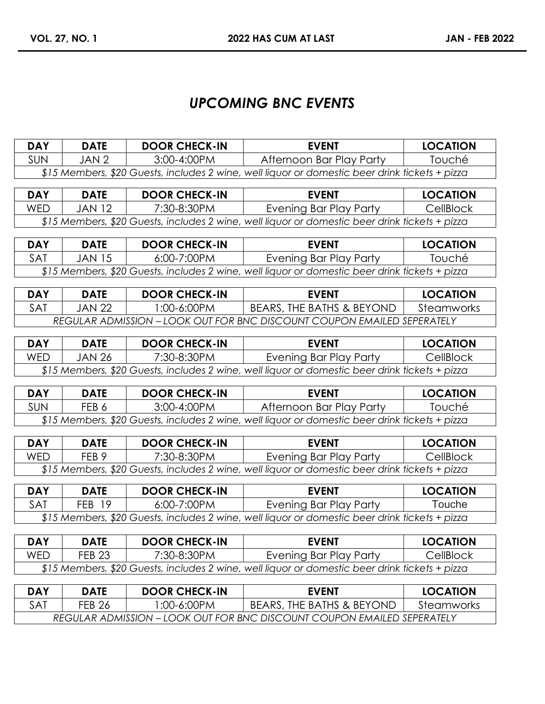## UPCOMING BNC EVENTS

| <b>DAY</b>                                                                                     | <b>DATE</b> | <b>DOOR CHECK-IN</b> | <b>EVENT</b>             | <b>LOCATION</b> |  |
|------------------------------------------------------------------------------------------------|-------------|----------------------|--------------------------|-----------------|--|
| <b>SUN</b>                                                                                     | JAN 2       | $3:00 - 4:00$ PM     | Afternoon Bar Play Party | <b>Touché</b>   |  |
| \$15 Members, \$20 Guests, includes 2 wine, well liquor or domestic beer drink tickets + pizza |             |                      |                          |                 |  |

| <b>DAY</b> | <b>DATE</b> | <b>DOOR CHECK-IN</b> | <b>EVENT</b>                                                                                    | <b>LOCATION</b> |
|------------|-------------|----------------------|-------------------------------------------------------------------------------------------------|-----------------|
| WED        | IAN 12      | 7:30-8:30PM          | Evening Bar Play Party                                                                          | CellBlock       |
|            |             |                      | $$15$ Members, \$20 Guests, includes 2 wine, well liquor or domestic beer drink tickets + pizza |                 |

| <b>DAY</b>                                                                                     | <b>DATE</b> | <b>DOOR CHECK-IN</b> | <b>EVENT</b>           | <b>LOCATION</b> |  |
|------------------------------------------------------------------------------------------------|-------------|----------------------|------------------------|-----------------|--|
| <b>SAT</b>                                                                                     | JAN 15.     | 6:00-7:00PM          | Evening Bar Play Party | Touché          |  |
| \$15 Members, \$20 Guests, includes 2 wine, well liquor or domestic beer drink tickets + pizza |             |                      |                        |                 |  |

| <b>DAY</b>                                                              | DATE    | <b>DOOR CHECK-IN</b> | <b>EVENT</b>              | <b>LOCATION</b> |
|-------------------------------------------------------------------------|---------|----------------------|---------------------------|-----------------|
| <b>SAT</b>                                                              | IAN 22. | $:00-6:00PM$         | BEARS, THE BATHS & BEYOND | Steamworks      |
| REGULAR ADMISSION – LOOK OUT FOR BNC DISCOUNT COUPON EMAILED SEPERATELY |         |                      |                           |                 |

| <b>DAY</b>                                                                                     | <b>DATE</b> | <b>DOOR CHECK-IN</b> | <b>EVENT</b>           | <b>LOCATION</b> |
|------------------------------------------------------------------------------------------------|-------------|----------------------|------------------------|-----------------|
| WED                                                                                            | JAN 26.     | 7:30-8:30PM          | Evening Bar Play Party | CellBlock       |
| \$15 Members, \$20 Guests, includes 2 wine, well liquor or domestic beer drink tickets + pizza |             |                      |                        |                 |

| <b>DAY</b>                                                                                     | <b>DATE</b> | <b>DOOR CHECK-IN</b> | <b>EVENT</b>             | <b>LOCATION</b> |  |
|------------------------------------------------------------------------------------------------|-------------|----------------------|--------------------------|-----------------|--|
| <b>SUN</b>                                                                                     | FEB 6       | 3:00-4:00PM          | Afternoon Bar Play Party | Touché          |  |
| \$15 Members, \$20 Guests, includes 2 wine, well liquor or domestic beer drink tickets + pizza |             |                      |                          |                 |  |

| <b>DAY</b>                                                                                     | <b>DATE</b> | <b>DOOR CHECK-IN</b> | <b>EVENT</b>           | <b>LOCATION</b> |  |
|------------------------------------------------------------------------------------------------|-------------|----------------------|------------------------|-----------------|--|
| <b>WED</b>                                                                                     | FFB 9       | 7:30-8:30PM          | Evening Bar Play Party | CellBlock       |  |
| \$15 Members, \$20 Guests, includes 2 wine, well liquor or domestic beer drink tickets + pizza |             |                      |                        |                 |  |

| <b>DAY</b> | <b>DATE</b> | <b>DOOR CHECK-IN</b> | <b>EVENT</b>                                                                                   | <b>LOCATION</b> |
|------------|-------------|----------------------|------------------------------------------------------------------------------------------------|-----------------|
| <b>SAT</b> | FFB 19      | 6:00-7:00PM          | Evening Bar Play Party                                                                         | Touche          |
|            |             |                      | \$15 Members, \$20 Guests, includes 2 wine, well liquor or domestic beer drink tickets + pizza |                 |

| <b>DAY</b>                                                                                     | DATE          | <b>DOOR CHECK-IN</b> | <b>EVENT</b>           | <b>LOCATION</b> |
|------------------------------------------------------------------------------------------------|---------------|----------------------|------------------------|-----------------|
| WED                                                                                            | <b>FEB 23</b> | 7:30-8:30PM          | Evening Bar Play Party | CellBlock       |
| \$15 Members, \$20 Guests, includes 2 wine, well liquor or domestic beer drink tickets + pizza |               |                      |                        |                 |

| <b>DAY</b>                                                              | DATE          | <b>DOOR CHECK-IN</b> | <b>EVENT</b>                         | <b>LOCATION</b> |
|-------------------------------------------------------------------------|---------------|----------------------|--------------------------------------|-----------------|
| <b>SAT</b>                                                              | <b>FEB 26</b> | .00-6:00PM           | <b>BEARS, THE BATHS &amp; BEYOND</b> | Steamworks      |
| REGULAR ADMISSION – LOOK OUT FOR BNC DISCOUNT COUPON EMAILED SEPERATELY |               |                      |                                      |                 |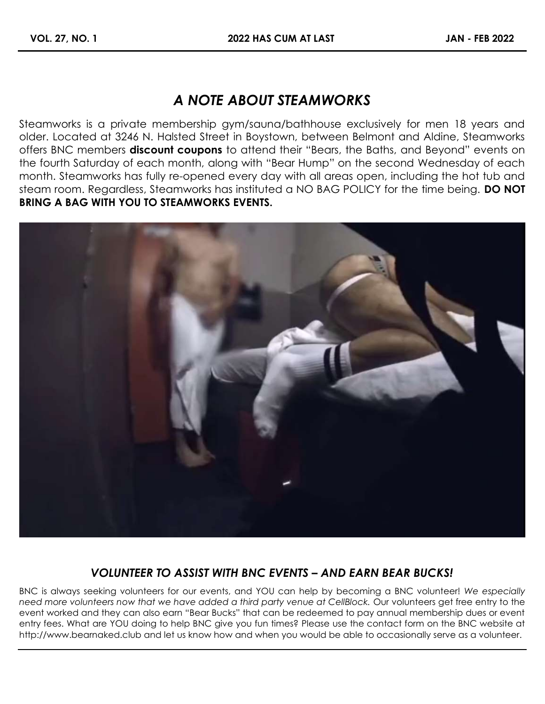# A NOTE ABOUT STEAMWORKS

Steamworks is a private membership gym/sauna/bathhouse exclusively for men 18 years and older. Located at 3246 N. Halsted Street in Boystown, between Belmont and Aldine, Steamworks offers BNC members **discount coupons** to attend their "Bears, the Baths, and Beyond" events on the fourth Saturday of each month, along with "Bear Hump" on the second Wednesday of each month. Steamworks has fully re-opened every day with all areas open, including the hot tub and steam room. Regardless, Steamworks has instituted a NO BAG POLICY for the time being. **DO NOT** BRING A BAG WITH YOU TO STEAMWORKS EVENTS.



### VOLUNTEER TO ASSIST WITH BNC EVENTS – AND EARN BEAR BUCKS!

BNC is always seeking volunteers for our events, and YOU can help by becoming a BNC volunteer! We especially need more volunteers now that we have added a third party venue at CellBlock. Our volunteers get free entry to the event worked and they can also earn "Bear Bucks" that can be redeemed to pay annual membership dues or event entry fees. What are YOU doing to help BNC give you fun times? Please use the contact form on the BNC website at http://www.bearnaked.club and let us know how and when you would be able to occasionally serve as a volunteer.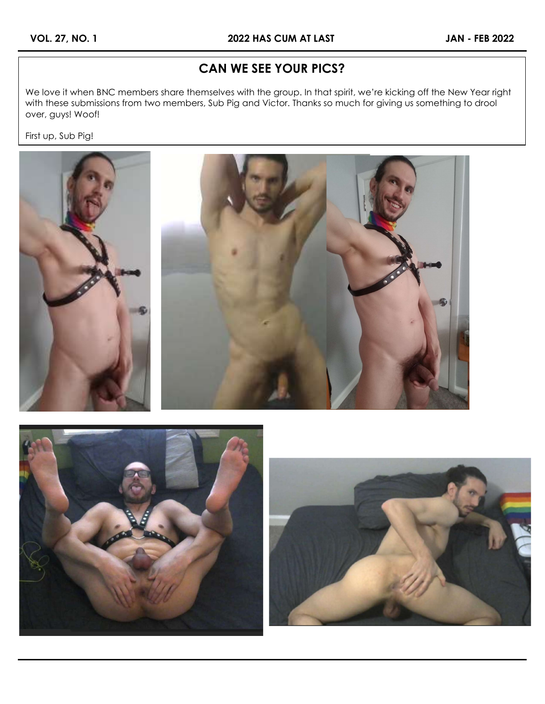## CAN WE SEE YOUR PICS?

We love it when BNC members share themselves with the group. In that spirit, we're kicking off the New Year right with these submissions from two members, Sub Pig and Victor. Thanks so much for giving us something to drool over, guys! Woof!

First up, Sub Pig!